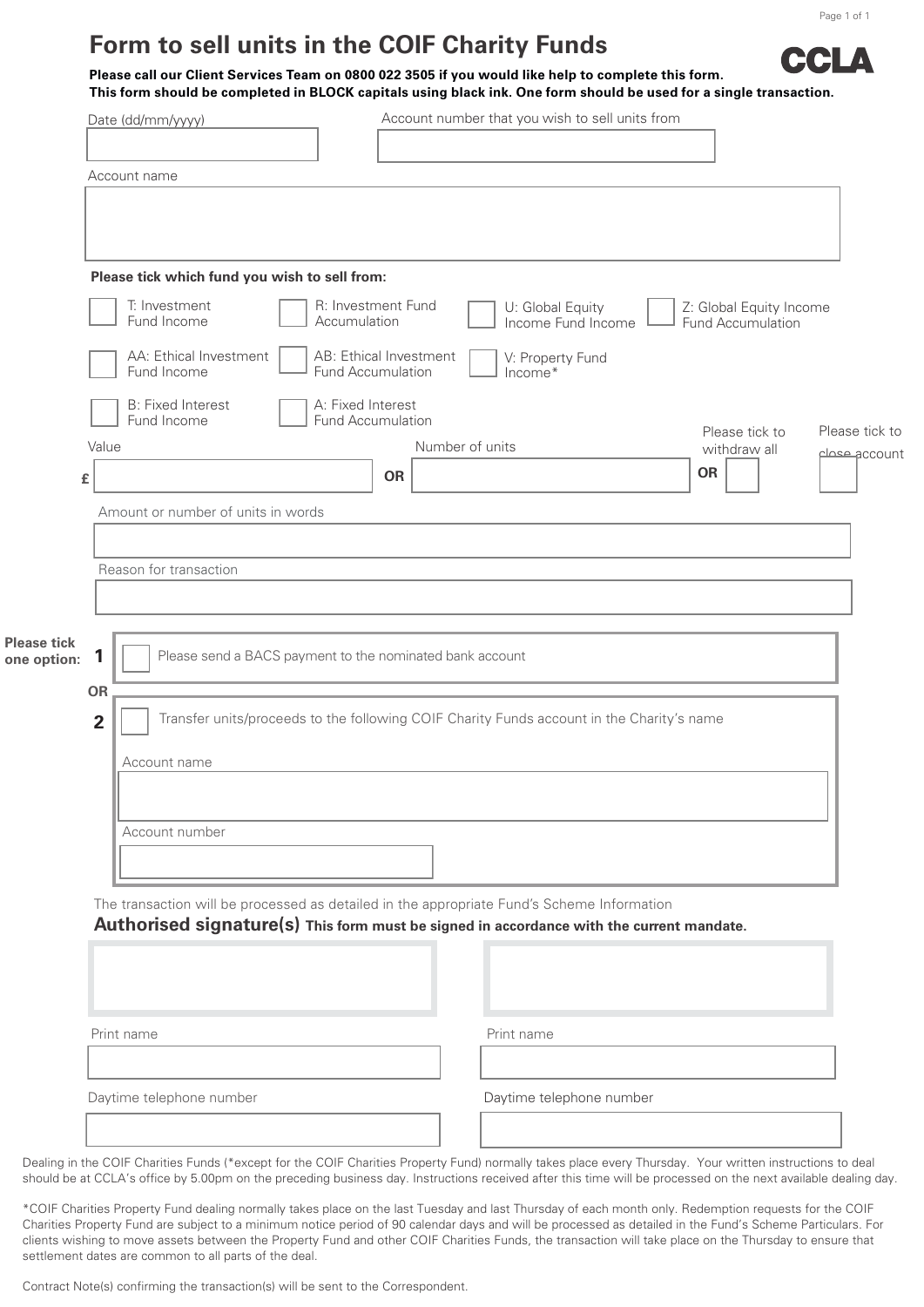## **Form to sell units in the COIF Charity Funds**

**CLA Please call our Client Services Team on 0800 022 3505 if you would like help to complete this form. This form should be completed in BLOCK capitals using black ink. One form should be used for a single transaction.** 

| Date (dd/mm/yyyy)                     | Account number that you wish to sell units from                       |                                                                                                                                                                                                                                                                                                                                                                                                                                                                                                                                                                   |
|---------------------------------------|-----------------------------------------------------------------------|-------------------------------------------------------------------------------------------------------------------------------------------------------------------------------------------------------------------------------------------------------------------------------------------------------------------------------------------------------------------------------------------------------------------------------------------------------------------------------------------------------------------------------------------------------------------|
|                                       |                                                                       |                                                                                                                                                                                                                                                                                                                                                                                                                                                                                                                                                                   |
| Account name                          |                                                                       |                                                                                                                                                                                                                                                                                                                                                                                                                                                                                                                                                                   |
|                                       |                                                                       |                                                                                                                                                                                                                                                                                                                                                                                                                                                                                                                                                                   |
|                                       |                                                                       |                                                                                                                                                                                                                                                                                                                                                                                                                                                                                                                                                                   |
|                                       |                                                                       | Z: Global Equity Income                                                                                                                                                                                                                                                                                                                                                                                                                                                                                                                                           |
| Fund Income                           | Income Fund Income                                                    | <b>Fund Accumulation</b>                                                                                                                                                                                                                                                                                                                                                                                                                                                                                                                                          |
| AA: Ethical Investment<br>Fund Income | V: Property Fund<br>Income*                                           |                                                                                                                                                                                                                                                                                                                                                                                                                                                                                                                                                                   |
| <b>B: Fixed Interest</b>              |                                                                       |                                                                                                                                                                                                                                                                                                                                                                                                                                                                                                                                                                   |
| Value                                 | Number of units                                                       | Please tick to<br>Please tick to<br>withdraw all<br>accountج معملم                                                                                                                                                                                                                                                                                                                                                                                                                                                                                                |
|                                       | <b>OR</b>                                                             | OR                                                                                                                                                                                                                                                                                                                                                                                                                                                                                                                                                                |
| Amount or number of units in words    |                                                                       |                                                                                                                                                                                                                                                                                                                                                                                                                                                                                                                                                                   |
|                                       |                                                                       |                                                                                                                                                                                                                                                                                                                                                                                                                                                                                                                                                                   |
| Reason for transaction                |                                                                       |                                                                                                                                                                                                                                                                                                                                                                                                                                                                                                                                                                   |
|                                       |                                                                       |                                                                                                                                                                                                                                                                                                                                                                                                                                                                                                                                                                   |
|                                       |                                                                       |                                                                                                                                                                                                                                                                                                                                                                                                                                                                                                                                                                   |
|                                       |                                                                       |                                                                                                                                                                                                                                                                                                                                                                                                                                                                                                                                                                   |
|                                       |                                                                       |                                                                                                                                                                                                                                                                                                                                                                                                                                                                                                                                                                   |
|                                       |                                                                       |                                                                                                                                                                                                                                                                                                                                                                                                                                                                                                                                                                   |
| Account name                          |                                                                       |                                                                                                                                                                                                                                                                                                                                                                                                                                                                                                                                                                   |
|                                       |                                                                       |                                                                                                                                                                                                                                                                                                                                                                                                                                                                                                                                                                   |
| Account number                        |                                                                       |                                                                                                                                                                                                                                                                                                                                                                                                                                                                                                                                                                   |
|                                       |                                                                       |                                                                                                                                                                                                                                                                                                                                                                                                                                                                                                                                                                   |
|                                       |                                                                       |                                                                                                                                                                                                                                                                                                                                                                                                                                                                                                                                                                   |
|                                       |                                                                       |                                                                                                                                                                                                                                                                                                                                                                                                                                                                                                                                                                   |
|                                       |                                                                       |                                                                                                                                                                                                                                                                                                                                                                                                                                                                                                                                                                   |
|                                       |                                                                       |                                                                                                                                                                                                                                                                                                                                                                                                                                                                                                                                                                   |
| Print name                            | Print name                                                            |                                                                                                                                                                                                                                                                                                                                                                                                                                                                                                                                                                   |
|                                       |                                                                       |                                                                                                                                                                                                                                                                                                                                                                                                                                                                                                                                                                   |
| Daytime telephone number              | Daytime telephone number                                              |                                                                                                                                                                                                                                                                                                                                                                                                                                                                                                                                                                   |
|                                       |                                                                       |                                                                                                                                                                                                                                                                                                                                                                                                                                                                                                                                                                   |
|                                       |                                                                       |                                                                                                                                                                                                                                                                                                                                                                                                                                                                                                                                                                   |
| one option:                           | T: Investment<br>Fund Income<br>£<br>1<br><b>OR</b><br>$\overline{2}$ | Please tick which fund you wish to sell from:<br>R: Investment Fund<br>U: Global Equity<br>Accumulation<br>AB: Ethical Investment<br><b>Fund Accumulation</b><br>A: Fixed Interest<br><b>Fund Accumulation</b><br>Please send a BACS payment to the nominated bank account<br>Transfer units/proceeds to the following COIF Charity Funds account in the Charity's name<br>The transaction will be processed as detailed in the appropriate Fund's Scheme Information<br>Authorised signature(s) This form must be signed in accordance with the current mandate. |

\*COIF Charities Property Fund dealing normally takes place on the last Tuesday and last Thursday of each month only. Redemption requests for the COIF Charities Property Fund are subject to a minimum notice period of 90 calendar days and will be processed as detailed in the Fund's Scheme Particulars. For clients wishing to move assets between the Property Fund and other COIF Charities Funds, the transaction will take place on the Thursday to ensure that settlement dates are common to all parts of the deal.

Contract Note(s) confirming the transaction(s) will be sent to the Correspondent.